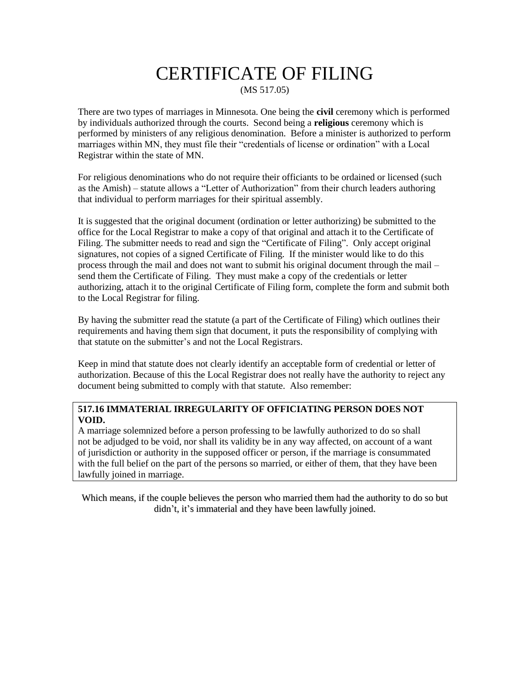## CERTIFICATE OF FILING (MS 517.05)

There are two types of marriages in Minnesota. One being the **civil** ceremony which is performed by individuals authorized through the courts. Second being a **religious** ceremony which is performed by ministers of any religious denomination. Before a minister is authorized to perform marriages within MN, they must file their "credentials of license or ordination" with a Local Registrar within the state of MN.

For religious denominations who do not require their officiants to be ordained or licensed (such as the Amish) – statute allows a "Letter of Authorization" from their church leaders authoring that individual to perform marriages for their spiritual assembly.

It is suggested that the original document (ordination or letter authorizing) be submitted to the office for the Local Registrar to make a copy of that original and attach it to the Certificate of Filing. The submitter needs to read and sign the "Certificate of Filing". Only accept original signatures, not copies of a signed Certificate of Filing. If the minister would like to do this process through the mail and does not want to submit his original document through the mail – send them the Certificate of Filing. They must make a copy of the credentials or letter authorizing, attach it to the original Certificate of Filing form, complete the form and submit both to the Local Registrar for filing.

By having the submitter read the statute (a part of the Certificate of Filing) which outlines their requirements and having them sign that document, it puts the responsibility of complying with that statute on the submitter's and not the Local Registrars.

Keep in mind that statute does not clearly identify an acceptable form of credential or letter of authorization. Because of this the Local Registrar does not really have the authority to reject any document being submitted to comply with that statute. Also remember:

#### **517.16 IMMATERIAL IRREGULARITY OF OFFICIATING PERSON DOES NOT VOID.**

A marriage solemnized before a person professing to be lawfully authorized to do so shall not be adjudged to be void, nor shall its validity be in any way affected, on account of a want of jurisdiction or authority in the supposed officer or person, if the marriage is consummated with the full belief on the part of the persons so married, or either of them, that they have been lawfully joined in marriage.

Which means, if the couple believes the person who married them had the authority to do so but didn't, it's immaterial and they have been lawfully joined.